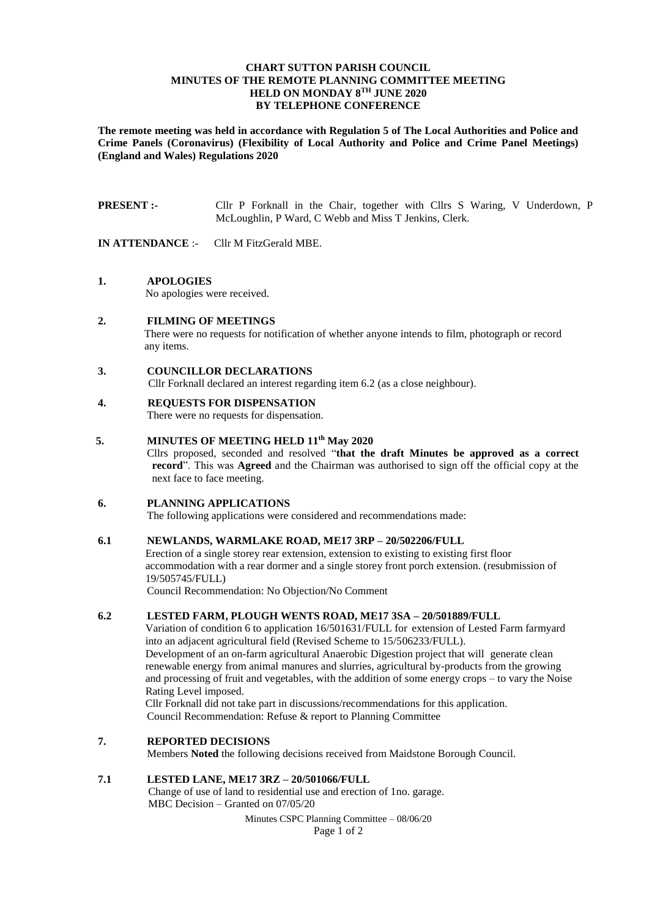## **CHART SUTTON PARISH COUNCIL MINUTES OF THE REMOTE PLANNING COMMITTEE MEETING HELD ON MONDAY 8 TH JUNE 2020 BY TELEPHONE CONFERENCE**

**The remote meeting was held in accordance with Regulation 5 of The Local Authorities and Police and Crime Panels (Coronavirus) (Flexibility of Local Authority and Police and Crime Panel Meetings) (England and Wales) Regulations 2020**

**PRESENT :-** Cllr P Forknall in the Chair, together with Cllrs S Waring, V Underdown, P McLoughlin, P Ward, C Webb and Miss T Jenkins, Clerk.

**IN ATTENDANCE** :- Cllr M FitzGerald MBE.

**1. APOLOGIES** 

No apologies were received.

**2. FILMING OF MEETINGS** There were no requests for notification of whether anyone intends to film, photograph or record any items.

### **3. COUNCILLOR DECLARATIONS**

Cllr Forknall declared an interest regarding item 6.2 (as a close neighbour).

# **4. REQUESTS FOR DISPENSATION**

There were no requests for dispensation.

## **5. MINUTES OF MEETING HELD 11th May 2020**

Cllrs proposed, seconded and resolved "**that the draft Minutes be approved as a correct record**". This was **Agreed** and the Chairman was authorised to sign off the official copy at the next face to face meeting.

## **6. PLANNING APPLICATIONS**

The following applications were considered and recommendations made:

### **6.1 NEWLANDS, WARMLAKE ROAD, ME17 3RP – 20/502206/FULL**

Erection of a single storey rear extension, extension to existing to existing first floor accommodation with a rear dormer and a single storey front porch extension. (resubmission of 19/505745/FULL)

Council Recommendation: No Objection/No Comment

## **6.2 LESTED FARM, PLOUGH WENTS ROAD, ME17 3SA – 20/501889/FULL**

Variation of condition 6 to application 16/501631/FULL for extension of Lested Farm farmyard into an adjacent agricultural field (Revised Scheme to 15/506233/FULL). Development of an on-farm agricultural Anaerobic Digestion project that will generate clean renewable energy from animal manures and slurries, agricultural by-products from the growing and processing of fruit and vegetables, with the addition of some energy crops – to vary the Noise Rating Level imposed.

Cllr Forknall did not take part in discussions/recommendations for this application. Council Recommendation: Refuse & report to Planning Committee

### **7. REPORTED DECISIONS**

Members **Noted** the following decisions received from Maidstone Borough Council.

### **7.1 LESTED LANE, ME17 3RZ – 20/501066/FULL**

Change of use of land to residential use and erection of 1no. garage. MBC Decision – Granted on 07/05/20

Minutes CSPC Planning Committee – 08/06/20

Page 1 of 2